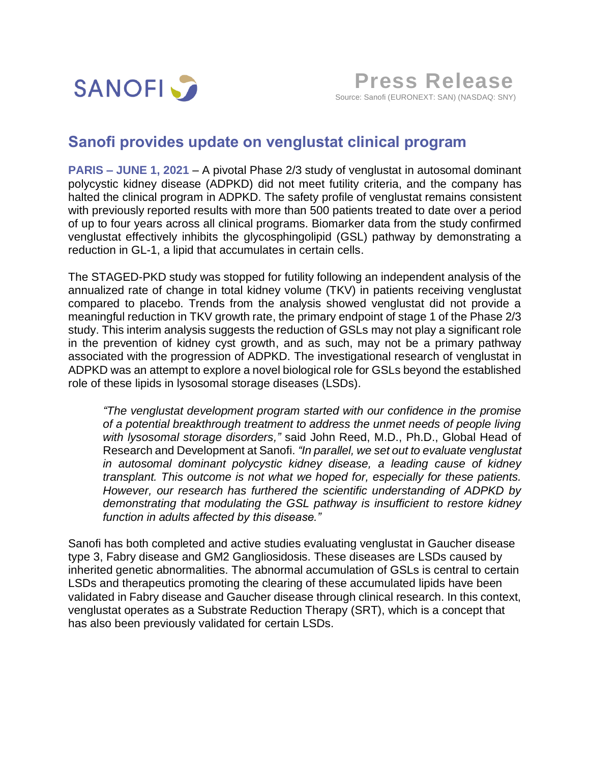

## **Sanofi provides update on venglustat clinical program**

**PARIS – JUNE 1, 2021** – A pivotal Phase 2/3 study of venglustat in autosomal dominant polycystic kidney disease (ADPKD) did not meet futility criteria, and the company has halted the clinical program in ADPKD. The safety profile of venglustat remains consistent with previously reported results with more than 500 patients treated to date over a period of up to four years across all clinical programs. Biomarker data from the study confirmed venglustat effectively inhibits the glycosphingolipid (GSL) pathway by demonstrating a reduction in GL-1, a lipid that accumulates in certain cells.

The STAGED-PKD study was stopped for futility following an independent analysis of the annualized rate of change in total kidney volume (TKV) in patients receiving venglustat compared to placebo. Trends from the analysis showed venglustat did not provide a meaningful reduction in TKV growth rate, the primary endpoint of stage 1 of the Phase 2/3 study. This interim analysis suggests the reduction of GSLs may not play a significant role in the prevention of kidney cyst growth, and as such, may not be a primary pathway associated with the progression of ADPKD. The investigational research of venglustat in ADPKD was an attempt to explore a novel biological role for GSLs beyond the established role of these lipids in lysosomal storage diseases (LSDs).

*"The venglustat development program started with our confidence in the promise of a potential breakthrough treatment to address the unmet needs of people living with lysosomal storage disorders,"* said John Reed, M.D., Ph.D., Global Head of Research and Development at Sanofi. *"In parallel, we set out to evaluate venglustat in autosomal dominant polycystic kidney disease, a leading cause of kidney transplant. This outcome is not what we hoped for, especially for these patients. However, our research has furthered the scientific understanding of ADPKD by demonstrating that modulating the GSL pathway is insufficient to restore kidney function in adults affected by this disease."*

Sanofi has both completed and active studies evaluating venglustat in Gaucher disease type 3, Fabry disease and GM2 Gangliosidosis. These diseases are LSDs caused by inherited genetic abnormalities. The abnormal accumulation of GSLs is central to certain LSDs and therapeutics promoting the clearing of these accumulated lipids have been validated in Fabry disease and Gaucher disease through clinical research. In this context, venglustat operates as a Substrate Reduction Therapy (SRT), which is a concept that has also been previously validated for certain LSDs.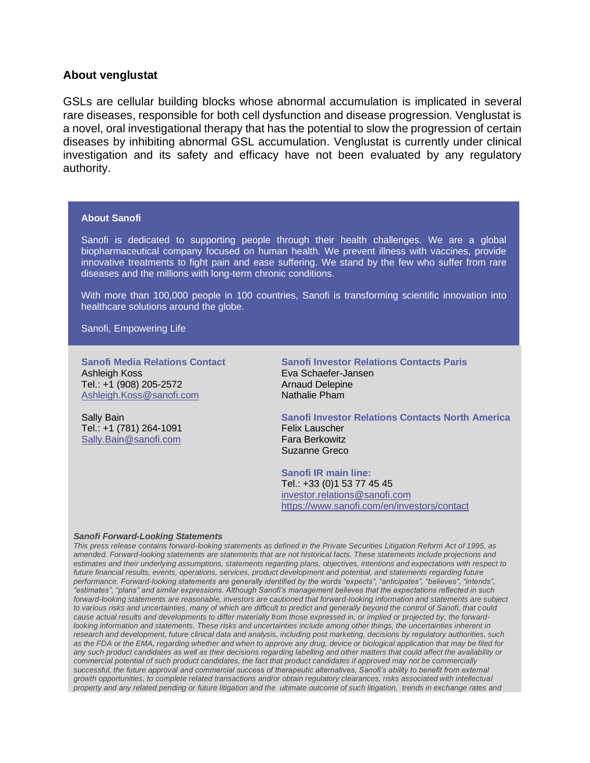## **About venglustat**

GSLs are cellular building blocks whose abnormal accumulation is implicated in several rare diseases, responsible for both cell dysfunction and disease progression. Venglustat is a novel, oral investigational therapy that has the potential to slow the progression of certain diseases by inhibiting abnormal GSL accumulation. Venglustat is currently under clinical investigation and its safety and efficacy have not been evaluated by any regulatory authority.

## **About Sanofi**

Sanofi is dedicated to supporting people through their health challenges. We are a global biopharmaceutical company focused on human health. We prevent illness with vaccines, provide innovative treatments to fight pain and ease suffering. We stand by the few who suffer from rare diseases and the millions with long-term chronic conditions.

With more than 100,000 people in 100 countries, Sanofi is transforming scientific innovation into healthcare solutions around the globe.

Sanofi, Empowering Life

**Sanofi Media Relations Contact**  Ashleigh Koss Tel.: +1 (908) 205-2572 [Ashleigh.Koss@sanofi.com](mailto:Ashleigh.Koss@sanofi.com)

Sally Bain Tel.: +1 (781) 264-1091 [Sally.Bain@sanofi.com](mailto:Sally.Bain@sanofi.com)

**Sanofi Investor Relations Contacts Paris** Eva Schaefer-Jansen Arnaud Delepine Nathalie Pham

**Sanofi Investor Relations Contacts North America** Felix Lauscher Fara Berkowitz Suzanne Greco

**Sanofi IR main line:** Tel.: +33 (0)1 53 77 45 45 [investor.relations@sanofi.com](mailto:investor.relations@sanofi.com) https://www.sanofi.com/en/investors/contact

## *Sanofi Forward-Looking Statements*

*This press release contains forward-looking statements as defined in the Private Securities Litigation Reform Act of 1995, as amended. Forward-looking statements are statements that are not historical facts. These statements include projections and estimates and their underlying assumptions, statements regarding plans, objectives, intentions and expectations with respect to future financial results, events, operations, services, product development and potential, and statements regarding future performance. Forward-looking statements are generally identified by the words "expects", "anticipates", "believes", "intends", "estimates", "plans" and similar expressions. Although Sanofi's management believes that the expectations reflected in such forward-looking statements are reasonable, investors are cautioned that forward-looking information and statements are subject to various risks and uncertainties, many of which are difficult to predict and generally beyond the control of Sanofi, that could cause actual results and developments to differ materially from those expressed in, or implied or projected by, the forwardlooking information and statements. These risks and uncertainties include among other things, the uncertainties inherent in research and development, future clinical data and analysis, including post marketing, decisions by regulatory authorities, such as the FDA or the EMA, regarding whether and when to approve any drug, device or biological application that may be filed for any such product candidates as well as their decisions regarding labelling and other matters that could affect the availability or commercial potential of such product candidates, the fact that product candidates if approved may not be commercially successful, the future approval and commercial success of therapeutic alternatives, Sanofi's ability to benefit from external growth opportunities, to complete related transactions and/or obtain regulatory clearances, risks associated with intellectual property and any related pending or future litigation and the ultimate outcome of such litigation, trends in exchange rates and*